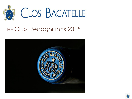

# THE CLOS Recognitions 2015



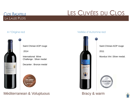## **CLOS BAGATELLE** LA LAUZE PLOTS

# LES CUVÉES DU CLOS



#### Saint Chinian AOP rouge

2014

International Wine Challenge : Silver medal

Decanter : Bronze medal



## Méditerranean & Voluptuous

#### A l'Origine red Veillée d'Automne red



Saint Chinian AOP rouge 2011

Mundus Vini :Silver medal.



## Bracy & warm

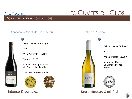### **CLOS BAGATELLE** DONNADIEU AND ASSIGNAN PLOTS

# LES CUVÉES DU CLOS

### Sentiers de Bagatelle, Donnadieu and Colline d'Assignan





2012

Wine Advocate : 87/100

Vinum : 15 / 20

Concours des grands vins de France : Gold medal.

Decanter : Bronze medal.





Intense & complex





Saint Chinian AOP blanc

Wine advocate : 88/100

International Wine Challenge : Bronze medal.



Straightforward & minéral

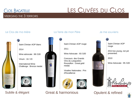# **CLOS BAGATELLE** MERGING THE 3 TERROIRS

# LES CUVÉES DU CLOS

### Le Clos de ma Mère



Saint Chinian AOP blanc

2014

Wine advocate : 88 /100

Vinum : 16 / 20

International Wine Challenge : Bronze medal.



Subtle & élégant



### La Terre de mon Père Je me souviens

Saint Chinian AOP rouge

2011

Wine Advocate : 93 /100

Concours des Grands Vins du Languedoc-Roussillon : Great gold medal.

Vinalies Nationales : Prix d'Excellence





## Great & harmonious **Opulent & refined**



Saint Chinian AOP rouge

2013 too young, not yet presented.

2010

Wine Advocate : 95 /100



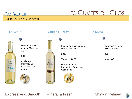# **CLOS BAGATELLE**

SAINT JEAN DE MINERVOIS

# LES CUVÉES DU CLOS





Muscat de Saint jean de Minervois AOP

2013

Challenge International Bordeaux : Gold medal.



#### Bagatelle Crain de Lumière La Divine

Muscat de Saint jean de Minervois AOP

2013

Vinum : 16 / 20

Grands Vins du Languedoc Roussillon : Gold medal.



Sweet white Pays d'Hérault IGP

2014

New cuvée.

Expressive & Smooth Minéral & Fresh

Shiny & Refined